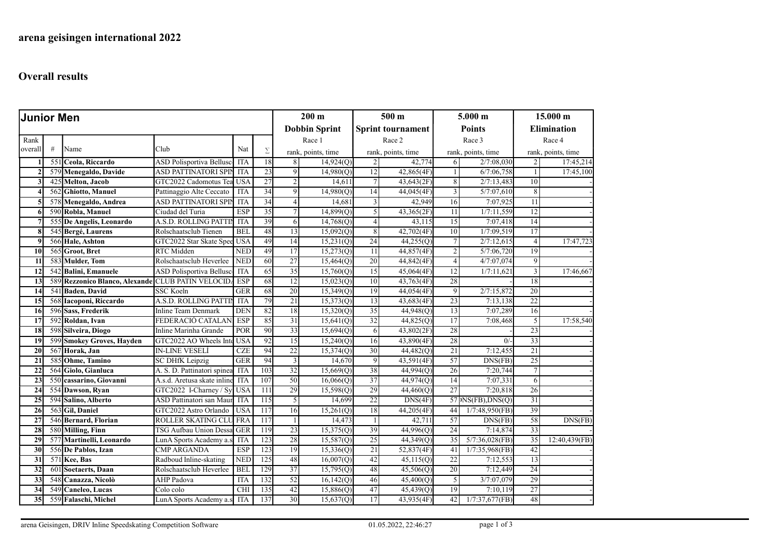## Overall results

| <b>Junior Men</b> |                  |                                                   |                             |            |                  | $200 \text{ m}$      |                    | $500 \text{ m}$          |                    | $5.000$ m       |                    | 15.000 m           |                    |  |
|-------------------|------------------|---------------------------------------------------|-----------------------------|------------|------------------|----------------------|--------------------|--------------------------|--------------------|-----------------|--------------------|--------------------|--------------------|--|
|                   |                  |                                                   |                             |            |                  | <b>Dobbin Sprint</b> |                    | <b>Sprint tournament</b> |                    | <b>Points</b>   |                    | <b>Elimination</b> |                    |  |
| Rank              |                  |                                                   |                             |            |                  |                      | Race 1             |                          | Race 2             |                 | Race 3             |                    | Race 4             |  |
| overall           | #                | Name                                              | Club                        | Nat        | $\Sigma$         |                      | rank, points, time |                          | rank, points, time |                 | rank, points, time |                    | rank, points, time |  |
|                   | $\overline{551}$ | Ceola, Riccardo                                   | ASD Polisportiva Bellusc    | <b>ITA</b> | $\overline{18}$  | 8                    | 14,924(Q)          | $\overline{2}$           | 42,774             | 6               | 2/7:08,030         | $\overline{2}$     | 17:45,214          |  |
| $\overline{2}$    |                  | 579 Menegaldo, Davide                             | ASD PATTINATORI SPIN        | <b>ITA</b> | 23               | 9                    | 14,980(Q)          | 12                       | 42,865(4F)         |                 | 6/7:06,758         | $\mathbf{1}$       | 17:45,100          |  |
| 3                 |                  | 425 Melton, Jacob                                 | GTC2022 Cadomotus Tea       | <b>USA</b> | 27               | 2                    | 14,611             | 7 <sup>1</sup>           | 43,643(2F)         | 8               | 2/7:13,483         | 10 <sup>1</sup>    |                    |  |
| $\Delta$          | 562              | Ghiotto, Manuel                                   | Pattinaggio Alte Ceccato    | <b>ITA</b> | 34               | 9                    | 14,980(Q)          | 14                       | 44,045(4F)         | 3               | 5/7:07,610         | 8 <sup>1</sup>     |                    |  |
| 5                 |                  | 578 Menegaldo, Andrea                             | <b>ASD PATTINATORI SPIN</b> | <b>ITA</b> | 34               | $\overline{4}$       | 14,681             | $\overline{3}$           | 42,949             | 16              | 7:07,925           | 11                 |                    |  |
| 6                 |                  | 590 Robla, Manuel                                 | Ciudad del Turia            | ESP        | 35               | 7                    | 14,899(Q)          | $\overline{5}$           | 43,365(2F)         | 11              | 1/7:11,559         | 12                 |                    |  |
| 7                 |                  | 555 De Angelis, Leonardo                          | A.S.D. ROLLING PATTIN       | <b>ITA</b> | 39               | 6                    | 14,768(Q)          | $\vert 4 \vert$          | 43,115             | 15              | 7:07,418           | 14                 |                    |  |
| 8                 |                  | 545 Bergé, Laurens                                | Rolschaatsclub Tienen       | <b>BEL</b> | 48               | 13                   | 15,092(Q)          | 8 <sup>1</sup>           | 42,702(4F)         | 10              | 1/7:09,519         | 17                 |                    |  |
| -9                |                  | 566 Hale, Ashton                                  | GTC2022 Star Skate Spee     | <b>USA</b> | 49               | 14                   | 15,231(Q)          | 24                       | 44,255(Q)          | $7\phantom{.0}$ | 2/7:12,615         | $\vert$            | 17:47,723          |  |
| 10                |                  | 565 Groot, Bret                                   | RTC Midden                  | <b>NED</b> | 49               | 17                   | 15,273(Q)          | 11                       | 44,857(4F)         | $\overline{2}$  | 5/7:06,720         | 19                 |                    |  |
| 11                |                  | 583 Mulder, Tom                                   | Rolschaatsclub Heverlee     | <b>NED</b> | 60               | $\overline{27}$      | 15,464(Q)          | 20                       | 44,842(4F)         | $\overline{4}$  | 4/7:07,074         | 9 <sup>1</sup>     |                    |  |
| 12                |                  | 542 Balini, Emanuele                              | ASD Polisportiva Bellusc    | <b>ITA</b> | 65               | 35                   | 15,760(Q)          | 15                       | 45,064(4F)         | 12              | 1/7:11,621         | 3                  | 17:46,667          |  |
| 13                |                  | 589 Rezzonico Blanco, Alexande CLUB PATIN VELOCID |                             | <b>ESP</b> | 68               | 12                   | 15,023(Q)          | 10                       | 43,763(4F)         | 28              |                    | 18                 |                    |  |
| 14                |                  | 541 Baden, David                                  | <b>SSC Koeln</b>            | <b>GER</b> | 68               | $\overline{20}$      | 15,349(Q)          | 19                       | 44,054(4F)         | 9               | 2/7:15,872         | 20                 |                    |  |
| 15                |                  | 568 Iacoponi, Riccardo                            | A.S.D. ROLLING PATTIN       | <b>ITA</b> | 79               | 21                   | 15,373(Q)          | 13                       | 43,683(4F)         | 23              | 7:13,138           | 22                 |                    |  |
| 16                |                  | 596 Sass, Frederik                                | <b>Inline Team Denmark</b>  | <b>DEN</b> | 82               | 18                   | 15,320(Q)          | 35                       | 44,948(Q)          | 13              | 7:07,289           | 16                 |                    |  |
| $\overline{17}$   |                  | 592 Roldan, Ivan                                  | FEDERACIÓ CATALAN           | <b>ESP</b> | 85               | 31                   | 15,641(Q)          | 32                       | 44,825(Q)          | 17              | 7:08,468           | $\overline{5}$     | 17:58,540          |  |
| 18                |                  | 598 Silveira, Diogo                               | Inline Marinha Grande       | POR        | 90               | $\overline{33}$      | 15,694(Q)          | 6                        | 43,802(2F)         | 28              |                    | $\overline{23}$    |                    |  |
| $\overline{19}$   |                  | 599 Smokey Groves, Hayden                         | GTC2022 AO Wheels Inte      | <b>USA</b> | 92               | $\overline{15}$      | 15,240(Q)          | 16                       | 43,890(4F)         | 28              | 0/                 | 33                 |                    |  |
| 20                |                  | 567 Horak, Jan                                    | <b>IN-LINE VESELÍ</b>       | <b>CZE</b> | 94               | 22                   | 15,374(Q)          | 30 <sup>2</sup>          | 44,482(Q)          | 21              | 7:12,455           | 21                 |                    |  |
| 21                |                  | 585 Ohme, Tamino                                  | SC DHfK Leipzig             | <b>GER</b> | 94               | 3                    | 14,670             | $\vert$                  | 43,591(4F)         | 57              | DNS(FB)            | 25                 |                    |  |
| 22                |                  | 564 Giolo, Gianluca                               | A. S. D. Pattinatori spinea | <b>ITA</b> | 103              | 32                   | 15,669(Q)          | 38                       | 44,994(Q)          | $\overline{26}$ | 7:20,744           | $\overline{7}$     |                    |  |
| 23                |                  | 550 cassarino, Giovanni                           | A.s.d. Aretusa skate inline | <b>ITA</b> | 107              | 50                   | 16,066(Q)          | 37                       | 44,974(Q)          | 14              | 7:07,331           | 6                  |                    |  |
| 24                |                  | 554 Dawson, Ryan                                  | GTC2022 I-Charney / Sy      | <b>USA</b> | 111              | 29                   | 15,598(Q)          | 29                       | 44,460(Q)          | 27              | 7:20,818           | 26                 |                    |  |
| 25                |                  | 594 Salino, Alberto                               | ASD Pattinatori san Maur    | <b>ITA</b> | $\overline{115}$ | 5                    | 14,699             | 22                       | DNS(4F)            |                 | 57 NS(FB),DNS(Q)   | 31                 |                    |  |
| 26                |                  | 563 Gil, Daniel                                   | GTC2022 Astro Orlando       | <b>USA</b> | 117              | 16                   | 15,261(Q)          | 18                       | 44,205(4F)         | 44              | 1/7:48,950(FB)     | 39                 |                    |  |
| 27                |                  | 546 Bernard, Florian                              | ROLLER SKATING CLU FRA      |            | 117              |                      | 14,473             | $\mathbf{1}$             | 42,711             | 57              | DNS(FB)            | 58                 | DNS(FB)            |  |
| 28                |                  | 580 Milling, Finn                                 | TSG Aufbau Union Dessa GER  |            | 119              | 23                   | 15,375(Q)          | 39                       | 44,996(Q)          | $\overline{24}$ | 7:14,874           | 33                 |                    |  |
| 29                |                  | 577 Martinelli, Leonardo                          | LunA Sports Academy a.s     | <b>ITA</b> | 123              | 28                   | 15,587(Q)          | 25                       | 44,349(Q)          | 35              | $5/7:36,028$ (FB)  | 35                 | 12:40,439(FB)      |  |
| 30                |                  | 556 De Pablos, Izan                               | <b>CMP ARGANDA</b>          | <b>ESP</b> | 123              | 19                   | 15,336(Q)          | 21                       | 52,837(4F)         | 41              | $1/7:35,968$ (FB)  | 42                 |                    |  |
| 31                |                  | 571 Kee, Bas                                      | Radboud Inline-skating      | <b>NED</b> | 125              | 48                   | 16,007(0)          | 42                       | 45,115(Q)          | 22              | 7:12,553           | 13                 |                    |  |
| 32                | 60               | Soetaerts, Daan                                   | Rolschaatsclub Heverlee     | <b>BEI</b> | 129              | 37                   | 15,795(Q)          | 48                       | 45,506(Q)          | 20              | 7:12,449           | 24                 |                    |  |
| $\overline{33}$   | 548              | Canazza, Nicolò                                   | <b>AHP</b> Padova           | <b>ITA</b> | 132              | $\overline{52}$      | 16,142(Q)          | 46                       | 45,400(Q)          | 5               | 3/7:07,079         | 29                 |                    |  |
| 34                |                  | 549 Caneleo, Lucas                                | Colo colo                   | <b>CHI</b> | 135              | 42                   | 15,886(Q)          | 47                       | 45,439(Q)          | 19              | 7:10,119           | 27                 |                    |  |
| $\overline{35}$   |                  | 559 Falaschi, Michel                              | LunA Sports Academy a.s     | <b>ITA</b> | 137              | 30                   | 15,637(Q)          | 17                       | 43,935(4F)         | 42              | 1/7:37,677(FB)     | 48                 |                    |  |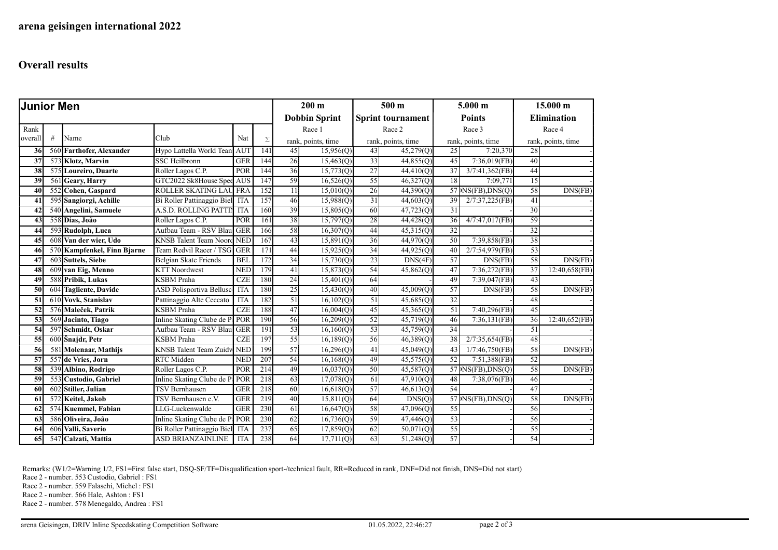## Overall results

| <b>Junior Men</b> |   |                             |                                 |            |                      | $200 \text{ m}$ |                          | 500 <sub>m</sub> |                       | 5.000 m         |                                                              | $15.000 \text{ m}$ |                    |  |
|-------------------|---|-----------------------------|---------------------------------|------------|----------------------|-----------------|--------------------------|------------------|-----------------------|-----------------|--------------------------------------------------------------|--------------------|--------------------|--|
|                   |   |                             |                                 |            | <b>Dobbin Sprint</b> |                 | <b>Sprint tournament</b> |                  | <b>Points</b>         |                 | <b>Elimination</b>                                           |                    |                    |  |
| Rank              |   |                             |                                 |            |                      |                 | Race 1                   |                  | Race 2                |                 | Race 3                                                       |                    | Race 4             |  |
| overall           | # | Name                        | Club                            | Nat        | Σ                    |                 | rank, points, time       |                  | rank, points, time    |                 | rank, points, time                                           |                    | rank, points, time |  |
| 36                |   | 560 Farthofer, Alexander    | Hypo Lattella World Team        | <b>AUT</b> | 141                  | 45              | 15,956(0)                | 43               | 45,279(0)             | 25              | 7:20,370                                                     | 28                 |                    |  |
| 37                |   | 573 Klotz, Marvin           | <b>SSC Heilbronn</b>            | <b>GER</b> | 144                  | 26              | 15,463(Q)                | 33               | 44,855(Q)             | 45              | $7:36,019$ (FB)                                              | 40 <sup>°</sup>    |                    |  |
| 38                |   | 575 Loureiro, Duarte        | Roller Lagos C.P.               | POR        | 144                  | 36              | 15,773(Q)                | $\overline{27}$  | 44,410(Q)             | 37              | $3/7:41,362$ (FB)                                            | 44                 |                    |  |
| 39                |   | 561 Geary, Harry            | GTC2022 Sk8House Spee AUS       |            | 147                  | 59              | 16,526(Q)                | 55               | 46,327(Q)             | 18              | 7:09,771                                                     | 15                 |                    |  |
| 40                |   | 552 Cohen, Gaspard          | ROLLER SKATING LAU FRA          |            | 152                  | 11              | 15,010(Q)                | 26               | 44,390 <sub>(Q)</sub> |                 | $57 $ NS(FB), DNS(Q)                                         | 58                 | DNS(FB)            |  |
| 41                |   | 595 Sangiorgi, Achille      | Bi Roller Pattinaggio Biel      | ITA        | 157                  | 46              | 15,988(Q)                | 31               | 44,603(Q)             | 39              | 2/7:37,225(FB)                                               | 41                 |                    |  |
| 42                |   | 540 Angelini, Samuele       | A.S.D. ROLLING PATTIN           | <b>ITA</b> | 160                  | 39              | 15,805(Q)                | 60               | 47,723(Q)             | 31              |                                                              | 30                 |                    |  |
| 43                |   | 558 Dias, João              | Roller Lagos C.P.               | POR        | 161                  | 38              | 15,797(Q)                | 28               | 44,428(Q)             | 36              | 4/7:47,017(FB)                                               | 59                 |                    |  |
| 44                |   | 593 Rudolph, Luca           | Aufbau Team - RSV Blau          | <b>GER</b> | 166                  | 58              | 16,307(0)                | 44               | 45,315(Q)             | 32              |                                                              | 32                 |                    |  |
| 45                |   | 608 Van der wier, Udo       | <b>KNSB</b> Talent Team Noord   | <b>NED</b> | 167                  | 43              | 15,891(Q)                | 36               | 44,970(Q)             | $\overline{50}$ | 7:39,858(FB)                                                 | 38                 |                    |  |
| 46                |   | 570 Kampfenkel, Finn Bjarne | Team Redvil Racer / TSG         | <b>GER</b> | 171                  | 44              | 15,925(Q)                | 34               | 44,925(Q)             | 40              | 2/7:54,979(FB)                                               | 53                 |                    |  |
| 47                |   | 603 Suttels, Siebe          | Belgian Skate Friends           | <b>BEL</b> | 172                  | 34              | 15,730(Q)                | 23               | DNS(4F)               | 57              | DNS(FB)                                                      | 58                 | DNS(FB)            |  |
| 48                |   | 609 van Eig, Menno          | <b>KTT Noordwest</b>            | <b>NED</b> | 179                  | 41              | 15,873(Q)                | 54               | 45,862(Q)             | 47              | 7:36,272(FB)                                                 | 37                 | 12:40,658(FB)      |  |
| 49                |   | 588 Pribik, Lukas           | <b>KSBM</b> Praha               | <b>CZE</b> | 180                  | 24              | 15,401(Q)                | 64               |                       | 49              | 7:39,047(FB)                                                 | 43                 |                    |  |
| 50                |   | 604 Tagliente, Davide       | <b>ASD Polisportiva Bellusc</b> | <b>ITA</b> | 180                  | 25              | 15,430(Q)                | 40               | 45,009(Q)             | 57              | DNS(FB)                                                      | 58                 | DNS(FB)            |  |
| 51                |   | 610 Vovk, Stanislav         | Pattinaggio Alte Ceccato        | <b>ITA</b> | 182                  | 51              | 16,102(0)                | 51               | 45,685(Q)             | 32              |                                                              | 48                 |                    |  |
| 52                |   | 576 Maleček, Patrik         | <b>KSBM</b> Praha               | <b>CZE</b> | 188                  | 47              | 16,004(Q)                | 45               | 45,365(Q)             | 51              | $7:40,296$ (FB)                                              | 45                 |                    |  |
| 53                |   | 569 Jacinto, Tiago          | Inline Skating Clube de P: POR  |            | 190                  | 56              | 16,209(0)                | 52               | 45,719(Q)             | 46              | 7:36,131(FB)                                                 | 36                 | 12:40,652(FB)      |  |
| 54                |   | 597 Schmidt, Oskar          | Aufbau Team - RSV Blau          | <b>GER</b> | 191                  | 53              | 16,160(Q)                | 53               | 45,759(Q)             | 34              |                                                              | 51                 |                    |  |
| 55                |   | 600 Snajdr, Petr            | <b>KSBM</b> Praha               | <b>CZE</b> | 197                  | 55              | 16,189(Q)                | 56               | 46,389(Q)             | 38              | 2/7:35,654(FB)                                               | 48                 |                    |  |
| 56                |   | 581 Molenaar, Mathijs       | KNSB Talent Team Zuidw          | <b>NED</b> | 199                  | 57              | 16,296(Q)                | 41               | 45,049(Q)             | 43              | 1/7:46,750(FB)                                               | 58                 | DNS(FB)            |  |
| 57                |   | 557 de Vries, Jorn          | <b>RTC</b> Midden               | <b>NED</b> | 207                  | 54              | 16,168(Q)                | 49               | 45,575(Q)             | 52              | 7:51,388(FB)                                                 | 52                 |                    |  |
| 58                |   | 539 Albino, Rodrigo         | Roller Lagos C.P.               | POR        | 214                  | 49              | 16,037(Q)                | 50               | 45,587(Q)             |                 | $\overline{57}$ NS(FB), DNS(Q)                               | 58                 | DNS(FB)            |  |
| 59                |   | 553 Custodio, Gabriel       | Inline Skating Clube de P       | POR        | 218                  | 63              | 17,078(Q)                | 61               | 47,910(Q)             | 48              | 7:38,076(FB)                                                 | 46                 |                    |  |
| 60                |   | 602 Stiller, Julian         | <b>TSV Bernhausen</b>           | <b>GER</b> | 218                  | 60              | 16,618(Q)                | 57               | 46,613(Q)             | 54              |                                                              | 47                 |                    |  |
| 61                |   | 572 Keitel, Jakob           | TSV Bernhausen e.V.             | GER        | 219                  | 40              | 15,811(0)                | 64               | DNS(Q)                |                 | $57$ $\overline{\text{NS(FB)}}$ , $\overline{\text{DNS}}(Q)$ | 58                 | DNS(FB)            |  |
| 62                |   | 574 Kuemmel, Fabian         | LLG-Luckenwalde                 | <b>GER</b> | 230                  | 61              | 16,647(Q)                | 58               | 47,096(Q)             | 55              |                                                              | 56                 |                    |  |
| 63                |   | 586 Oliveira, João          | Inline Skating Clube de P. POR  |            | 230                  | 62              | 16,736(Q)                | 59               | 47,446(Q)             | 53              |                                                              | 56                 |                    |  |
| 64                |   | 606 Valli, Saverio          | Bi Roller Pattinaggio Biel      | ITA        | 237                  | 65              | 17,859(Q)                | 62               | 50,071(Q)             | 55              |                                                              | 55                 |                    |  |
| 65                |   | 547 Calzati, Mattia         | <b>ASD BRIANZAINLINE</b>        | <b>ITA</b> | 238                  | 64              | 17,711(Q)                | 63               | 51,248(Q)             | 57              |                                                              | 54                 |                    |  |

Remarks: (W1/2=Warning 1/2, FS1=First false start, DSQ-SF/TF=Disqualification sport-/technical fault, RR=Reduced in rank, DNF=Did not finish, DNS=Did not start)

Race 2 - number. 553 Custodio, Gabriel : FS1

Race 2 - number. 559 Falaschi, Michel : FS1

Race 2 - number. 566 Hale, Ashton : FS1

Race 2 - number. 578 Menegaldo, Andrea : FS1